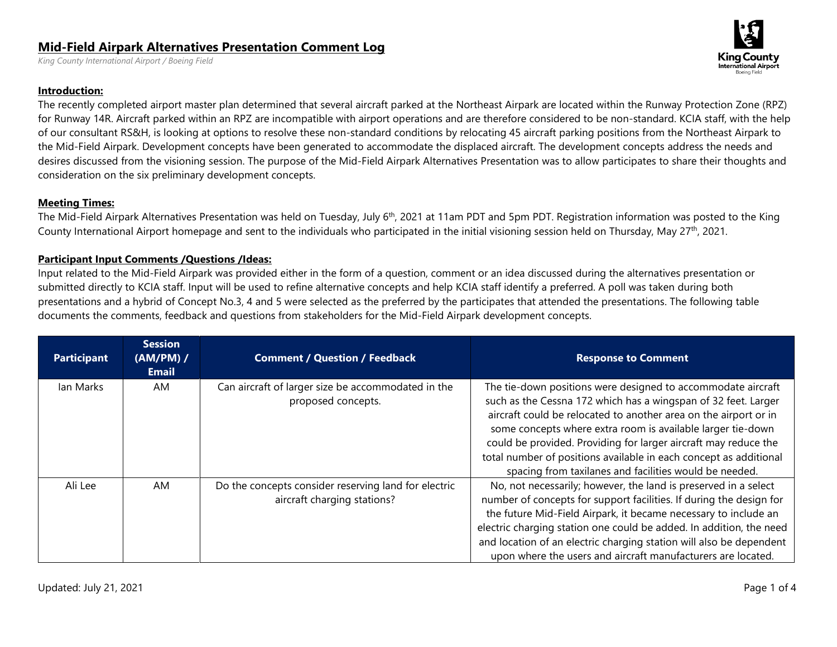## **Mid-Field Airpark Alternatives Presentation Comment Log**

*King County International Airport / Boeing Field* 

## **Introduction:**

The recently completed airport master plan determined that several aircraft parked at the Northeast Airpark are located within the Runway Protection Zone (RPZ) for Runway 14R. Aircraft parked within an RPZ are incompatible with airport operations and are therefore considered to be non-standard. KCIA staff, with the help of our consultant RS&H, is looking at options to resolve these non-standard conditions by relocating 45 aircraft parking positions from the Northeast Airpark to the Mid-Field Airpark. Development concepts have been generated to accommodate the displaced aircraft. The development concepts address the needs and desires discussed from the visioning session. The purpose of the Mid-Field Airpark Alternatives Presentation was to allow participates to share their thoughts and consideration on the six preliminary development concepts.

## **Meeting Times:**

The Mid-Field Airpark Alternatives Presentation was held on Tuesday, July 6<sup>th</sup>, 2021 at 11am PDT and 5pm PDT. Registration information was posted to the King County International Airport homepage and sent to the individuals who participated in the initial visioning session held on Thursday, May 27<sup>th</sup>, 2021.

## **Participant Input Comments /Questions /Ideas:**

Input related to the Mid-Field Airpark was provided either in the form of a question, comment or an idea discussed during the alternatives presentation or submitted directly to KCIA staff. Input will be used to refine alternative concepts and help KCIA staff identify a preferred. A poll was taken during both presentations and a hybrid of Concept No.3, 4 and 5 were selected as the preferred by the participates that attended the presentations. The following table documents the comments, feedback and questions from stakeholders for the Mid-Field Airpark development concepts.

| <b>Participant</b> | <b>Session</b><br>$(AM/PM)$ /<br><b>Email</b> | <b>Comment / Question / Feedback</b>                                                | <b>Response to Comment</b>                                                                                                                                                                                                                                                                                                                                                                                                                                          |
|--------------------|-----------------------------------------------|-------------------------------------------------------------------------------------|---------------------------------------------------------------------------------------------------------------------------------------------------------------------------------------------------------------------------------------------------------------------------------------------------------------------------------------------------------------------------------------------------------------------------------------------------------------------|
| lan Marks          | AM.                                           | Can aircraft of larger size be accommodated in the<br>proposed concepts.            | The tie-down positions were designed to accommodate aircraft<br>such as the Cessna 172 which has a wingspan of 32 feet. Larger<br>aircraft could be relocated to another area on the airport or in<br>some concepts where extra room is available larger tie-down<br>could be provided. Providing for larger aircraft may reduce the<br>total number of positions available in each concept as additional<br>spacing from taxilanes and facilities would be needed. |
| Ali Lee            | AM                                            | Do the concepts consider reserving land for electric<br>aircraft charging stations? | No, not necessarily; however, the land is preserved in a select<br>number of concepts for support facilities. If during the design for<br>the future Mid-Field Airpark, it became necessary to include an<br>electric charging station one could be added. In addition, the need<br>and location of an electric charging station will also be dependent<br>upon where the users and aircraft manufacturers are located.                                             |

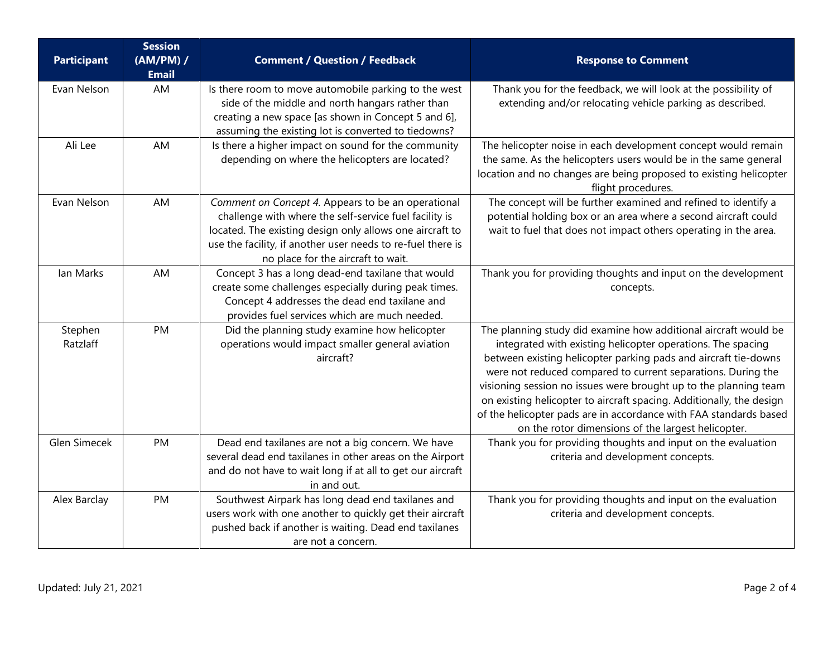| <b>Participant</b>  | <b>Session</b><br>(AM/PM) /<br><b>Email</b> | <b>Comment / Question / Feedback</b>                                                                                                                                                                                                                                          | <b>Response to Comment</b>                                                                                                                                                                                                                                                                                                                                                                                                                                                                                                               |
|---------------------|---------------------------------------------|-------------------------------------------------------------------------------------------------------------------------------------------------------------------------------------------------------------------------------------------------------------------------------|------------------------------------------------------------------------------------------------------------------------------------------------------------------------------------------------------------------------------------------------------------------------------------------------------------------------------------------------------------------------------------------------------------------------------------------------------------------------------------------------------------------------------------------|
| Evan Nelson         | AM                                          | Is there room to move automobile parking to the west<br>side of the middle and north hangars rather than<br>creating a new space [as shown in Concept 5 and 6],<br>assuming the existing lot is converted to tiedowns?                                                        | Thank you for the feedback, we will look at the possibility of<br>extending and/or relocating vehicle parking as described.                                                                                                                                                                                                                                                                                                                                                                                                              |
| Ali Lee             | AM                                          | Is there a higher impact on sound for the community<br>depending on where the helicopters are located?                                                                                                                                                                        | The helicopter noise in each development concept would remain<br>the same. As the helicopters users would be in the same general<br>location and no changes are being proposed to existing helicopter<br>flight procedures.                                                                                                                                                                                                                                                                                                              |
| Evan Nelson         | AM                                          | Comment on Concept 4. Appears to be an operational<br>challenge with where the self-service fuel facility is<br>located. The existing design only allows one aircraft to<br>use the facility, if another user needs to re-fuel there is<br>no place for the aircraft to wait. | The concept will be further examined and refined to identify a<br>potential holding box or an area where a second aircraft could<br>wait to fuel that does not impact others operating in the area.                                                                                                                                                                                                                                                                                                                                      |
| lan Marks           | AM                                          | Concept 3 has a long dead-end taxilane that would<br>create some challenges especially during peak times.<br>Concept 4 addresses the dead end taxilane and<br>provides fuel services which are much needed.                                                                   | Thank you for providing thoughts and input on the development<br>concepts.                                                                                                                                                                                                                                                                                                                                                                                                                                                               |
| Stephen<br>Ratzlaff | <b>PM</b>                                   | Did the planning study examine how helicopter<br>operations would impact smaller general aviation<br>aircraft?                                                                                                                                                                | The planning study did examine how additional aircraft would be<br>integrated with existing helicopter operations. The spacing<br>between existing helicopter parking pads and aircraft tie-downs<br>were not reduced compared to current separations. During the<br>visioning session no issues were brought up to the planning team<br>on existing helicopter to aircraft spacing. Additionally, the design<br>of the helicopter pads are in accordance with FAA standards based<br>on the rotor dimensions of the largest helicopter. |
| Glen Simecek        | PM                                          | Dead end taxilanes are not a big concern. We have<br>several dead end taxilanes in other areas on the Airport<br>and do not have to wait long if at all to get our aircraft<br>in and out.                                                                                    | Thank you for providing thoughts and input on the evaluation<br>criteria and development concepts.                                                                                                                                                                                                                                                                                                                                                                                                                                       |
| Alex Barclay        | PM                                          | Southwest Airpark has long dead end taxilanes and<br>users work with one another to quickly get their aircraft<br>pushed back if another is waiting. Dead end taxilanes<br>are not a concern.                                                                                 | Thank you for providing thoughts and input on the evaluation<br>criteria and development concepts.                                                                                                                                                                                                                                                                                                                                                                                                                                       |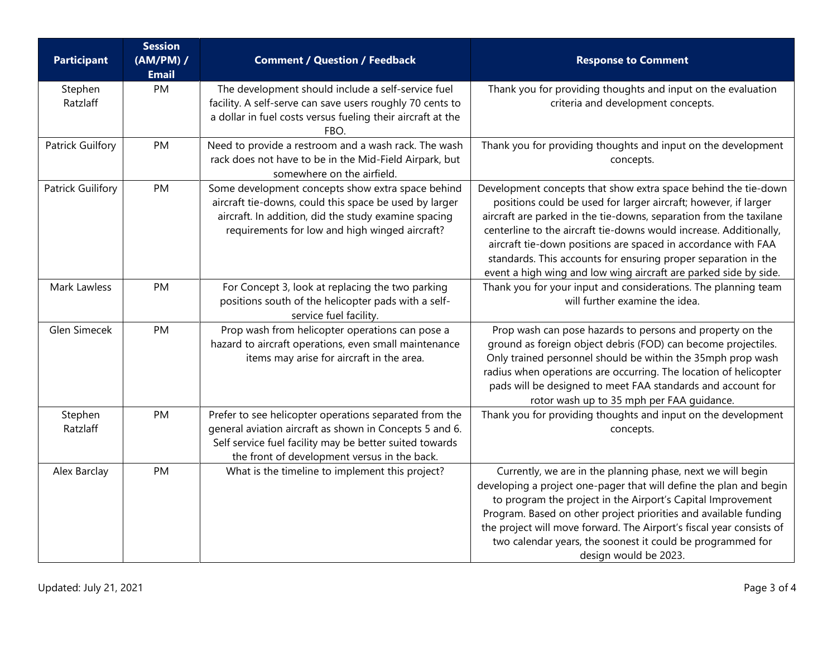| <b>Participant</b>       | <b>Session</b><br>(AM/PM) /<br><b>Email</b> | <b>Comment / Question / Feedback</b>                                                                                                                                                                                         | <b>Response to Comment</b>                                                                                                                                                                                                                                                                                                                                                                                                                                                           |
|--------------------------|---------------------------------------------|------------------------------------------------------------------------------------------------------------------------------------------------------------------------------------------------------------------------------|--------------------------------------------------------------------------------------------------------------------------------------------------------------------------------------------------------------------------------------------------------------------------------------------------------------------------------------------------------------------------------------------------------------------------------------------------------------------------------------|
| Stephen<br>Ratzlaff      | PM                                          | The development should include a self-service fuel<br>facility. A self-serve can save users roughly 70 cents to<br>a dollar in fuel costs versus fueling their aircraft at the<br>FBO.                                       | Thank you for providing thoughts and input on the evaluation<br>criteria and development concepts.                                                                                                                                                                                                                                                                                                                                                                                   |
| <b>Patrick Guilfory</b>  | PM                                          | Need to provide a restroom and a wash rack. The wash<br>rack does not have to be in the Mid-Field Airpark, but<br>somewhere on the airfield.                                                                                 | Thank you for providing thoughts and input on the development<br>concepts.                                                                                                                                                                                                                                                                                                                                                                                                           |
| <b>Patrick Guilifory</b> | PM                                          | Some development concepts show extra space behind<br>aircraft tie-downs, could this space be used by larger<br>aircraft. In addition, did the study examine spacing<br>requirements for low and high winged aircraft?        | Development concepts that show extra space behind the tie-down<br>positions could be used for larger aircraft; however, if larger<br>aircraft are parked in the tie-downs, separation from the taxilane<br>centerline to the aircraft tie-downs would increase. Additionally,<br>aircraft tie-down positions are spaced in accordance with FAA<br>standards. This accounts for ensuring proper separation in the<br>event a high wing and low wing aircraft are parked side by side. |
| Mark Lawless             | PM                                          | For Concept 3, look at replacing the two parking<br>positions south of the helicopter pads with a self-<br>service fuel facility.                                                                                            | Thank you for your input and considerations. The planning team<br>will further examine the idea.                                                                                                                                                                                                                                                                                                                                                                                     |
| Glen Simecek             | PM                                          | Prop wash from helicopter operations can pose a<br>hazard to aircraft operations, even small maintenance<br>items may arise for aircraft in the area.                                                                        | Prop wash can pose hazards to persons and property on the<br>ground as foreign object debris (FOD) can become projectiles.<br>Only trained personnel should be within the 35mph prop wash<br>radius when operations are occurring. The location of helicopter<br>pads will be designed to meet FAA standards and account for<br>rotor wash up to 35 mph per FAA guidance.                                                                                                            |
| Stephen<br>Ratzlaff      | PM                                          | Prefer to see helicopter operations separated from the<br>general aviation aircraft as shown in Concepts 5 and 6.<br>Self service fuel facility may be better suited towards<br>the front of development versus in the back. | Thank you for providing thoughts and input on the development<br>concepts.                                                                                                                                                                                                                                                                                                                                                                                                           |
| Alex Barclay             | PM                                          | What is the timeline to implement this project?                                                                                                                                                                              | Currently, we are in the planning phase, next we will begin<br>developing a project one-pager that will define the plan and begin<br>to program the project in the Airport's Capital Improvement<br>Program. Based on other project priorities and available funding<br>the project will move forward. The Airport's fiscal year consists of<br>two calendar years, the soonest it could be programmed for<br>design would be 2023.                                                  |